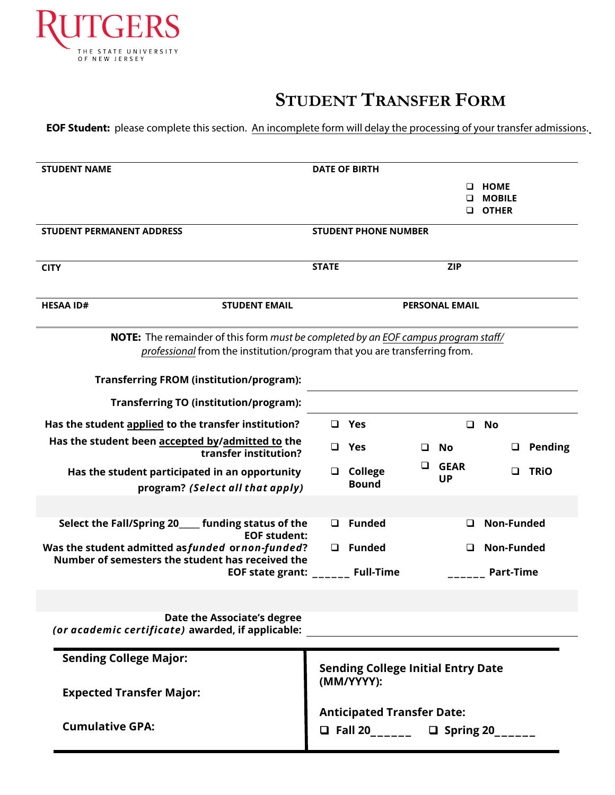

## **STUDENT TRANSFER FORM**

**EOF Student:** please complete this section. An incomplete form will delay the processing of your transfer admissions.

| <b>STUDENT NAME</b>                                                                                                                                                    |                                                                            | <b>DATE OF BIRTH</b>        |   |                          |                               |                |
|------------------------------------------------------------------------------------------------------------------------------------------------------------------------|----------------------------------------------------------------------------|-----------------------------|---|--------------------------|-------------------------------|----------------|
|                                                                                                                                                                        |                                                                            |                             |   |                          | <b>HOME</b>                   |                |
|                                                                                                                                                                        |                                                                            |                             |   |                          | <b>MOBILE</b><br><b>OTHER</b> |                |
|                                                                                                                                                                        |                                                                            |                             |   |                          |                               |                |
| <b>STUDENT PERMANENT ADDRESS</b>                                                                                                                                       |                                                                            | <b>STUDENT PHONE NUMBER</b> |   |                          |                               |                |
| <b>CITY</b>                                                                                                                                                            | <b>STATE</b>                                                               |                             |   | <b>ZIP</b>               |                               |                |
|                                                                                                                                                                        |                                                                            |                             |   |                          |                               |                |
| <b>HESAA ID#</b><br><b>STUDENT EMAIL</b>                                                                                                                               |                                                                            |                             |   | <b>PERSONAL EMAIL</b>    |                               |                |
| <b>NOTE:</b> The remainder of this form must be completed by an EOF campus program staff/<br>professional from the institution/program that you are transferring from. |                                                                            |                             |   |                          |                               |                |
| <b>Transferring FROM (institution/program):</b>                                                                                                                        |                                                                            |                             |   |                          |                               |                |
| <b>Transferring TO (institution/program):</b>                                                                                                                          |                                                                            |                             |   |                          |                               |                |
| Has the student applied to the transfer institution?                                                                                                                   |                                                                            | $\Box$ Yes                  |   | □                        | No                            |                |
| Has the student been accepted by/admitted to the<br>transfer institution?                                                                                              | $\Box$                                                                     | Yes                         | □ | No                       |                               | <b>Pending</b> |
| Has the student participated in an opportunity                                                                                                                         | □                                                                          | <b>College</b>              | ப | <b>GEAR</b><br><b>UP</b> | $\Box$                        | <b>TRIO</b>    |
| program? (Select all that apply)                                                                                                                                       |                                                                            | <b>Bound</b>                |   |                          |                               |                |
|                                                                                                                                                                        |                                                                            |                             |   |                          |                               |                |
| Select the Fall/Spring 20____<br>funding status of the<br><b>EOF student:</b>                                                                                          | <b>Funded</b><br><b>Non-Funded</b><br>$\Box$                               |                             |   |                          |                               |                |
| Was the student admitted as funded or non-funded?                                                                                                                      | Funded<br>Non-Funded<br>$\Box$<br>◻                                        |                             |   |                          |                               |                |
| Number of semesters the student has received the<br><b>EOF state grant:</b>                                                                                            | <b>Full-Time</b><br><b>Part-Time</b>                                       |                             |   |                          |                               |                |
|                                                                                                                                                                        |                                                                            |                             |   |                          |                               |                |
|                                                                                                                                                                        |                                                                            |                             |   |                          |                               |                |
| Date the Associate's degree<br>(or academic certificate) awarded, if applicable:                                                                                       |                                                                            |                             |   |                          |                               |                |
| <b>Sending College Major:</b>                                                                                                                                          |                                                                            |                             |   |                          |                               |                |
|                                                                                                                                                                        | <b>Sending College Initial Entry Date</b><br>(MM/YYYY):                    |                             |   |                          |                               |                |
| <b>Expected Transfer Major:</b>                                                                                                                                        |                                                                            |                             |   |                          |                               |                |
| <b>Cumulative GPA:</b>                                                                                                                                                 | <b>Anticipated Transfer Date:</b><br>□ Fall 20_________ □ Spring 20_______ |                             |   |                          |                               |                |